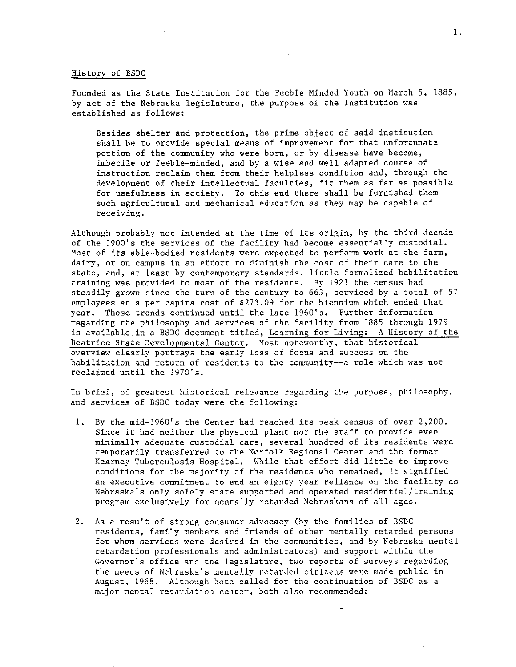#### History of BSDC

Founded as the State Institution for the Feeble Minded Youth on March 5, 1885, by act of the Nebraska legislature, the purpose of the Institution was established as follows:

Besides shelter and protection, the prime object of said institution shall be to provide special means of improvement for that unfortunate portion of the community who were born, or by disease have become, imbecile or feeble-minded, and by a wise and well adapted course of instruction reclaim them from their helpless condition and, through the development of their intellectual faculties, fit them as far as possible for usefulness in society. To this end there shall be furnished them such agricultural and mechanical education as they may be capable of **receiving.** 

Although probably not intended at the time of its origin, by the third decade of the 1900's the services of the facility had become essentially custodial. Most of its able-bodied residents were expected to perform work at the farm, dairy, or on campus in an effort to diminish the cost of their care to the state, and, at least by contemporary standards, little formalized habilitation training was provided to most of the residents. By 1921 the census had steadily grown since the turn of the century to 663, serviced by a total of 57 employees at a per capita cost of \$273.09 for the biennium which ended that year. Those trends continued until the late 1960's. Further information regarding the philosophy and services of the facility from 1885 through 1979 is available in a BSDC document titled, Learning for Living: A History of the Beatrice State Developmental Center. Most noteworthy, that historical overview clearly portrays the early loss of focus and success on the habilitation and return of residents to the community--a role which was not reclaimed until the 1970's.

In brief, of greatest historical relevance regarding the purpose, philosophy, and services of BSDC today were the following:

- 1. By the mid-1960's the Center had reached its peak census of over 2,200. Since it had neither the physical plant nor the staff to provide even minimally adequate custodial care, several hundred of its residents were temporarily transferred to the Norfolk Regional Center and the former Kearney Tuberculosis Hospital. While that effort did little to improve conditions for the majority of the residents who remained, it signified an executive commitment to end an eighty year reliance on the facility as Nebraska's only solely state supported and operated residential/training program exclusively for mentally retarded Nebraskans of all ages.
- 2. As a result of strong consumer advocacy (by the families of BSDC residents, family members and friends of other mentally retarded persons for whom services were desired in the communities, and by Nebraska mental retardation professionals and administrators) and support within the Governor's office and the legislature, two reports of surveys regarding the needs of Nebraska's mentally retarded citizens were made public in August, 1968. Although both called for the continuation of BSDC as a **major mental retardation center, both also recommended:**

1.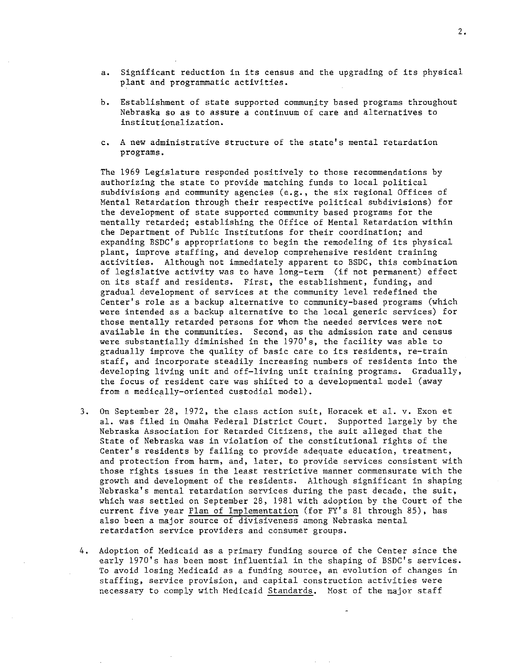- a. Significant reduction in its census and the upgrading of its physical plant and programmatic activities.
- b. Establishment of state supported community based programs throughout **Nebraska so as to assure a continuum of care and alternatives to**  institutionalization.
- **c. A new administrative structure of the state's mental retardation**  programs.

The 1969 Legislature responded positively to those recommendations by authorizing the state to provide matching funds to local political subdivisions and community agencies (e.g., the six regional Offices of Mental Retardation through their respective political subdivisions) for the development of state supported community based programs for the mentally retarded; establishing the Office of Mental Retardation within the Department of Public Institutions for their coordination; and expanding BSDC's appropriations to begin the remodeling of its physical plant, improve staffing, and develop comprehensive resident training activities. Although not immediately apparent to BSDC, this combination of legislative activity was to have long-term (if not permanent) effect on its staff and residents. First, the establishment, funding, and gradual development of services at the community level redefined the Center's role as a backup alternative to community-based programs (which were intended as a backup alternative to the local generic services) for those mentally retarded persons for whom the needed services were not **available in the communities. Second, as the admission rate and census**  were substantially diminished in the 1970's, the facility was able to gradually improve the quality of basic care to its residents, re-train staff, and incorporate steadily increasing numbers of residents into the developing living unit and off-living unit training programs. Gradually, the focus of resident care was shifted to a developmental model (away from a medically-oriented custodial model).

- 3. On September 28, 1972, the class action suit, Horacek et al. v. Exon et al. was filed in Omaha Federal District Court. Supported largely by the Nebraska Association for Retarded Citizens, the suit alleged that the State of Nebraska was in violation of the constitutional rights of the Center's residents by failing to provide adequate education, treatment, and protection from harm, and, later, to provide services consistent with **those rights issues in the least restrictive manner commensurate with the**  growth and development of the residents. Although significant in shaping Nebraska's mental retardation services during the past decade, the suit, which was settled on September 28, 1981 with adoption by the Court of the current five year Plan of Implementation (for FY's 81 through 85), has **also been a major source of divisiveness among Nebraska mental retardation service providers and consumer groups.**
- 4. Adoption of Medicaid as a primary funding source of the Center since the early 1970's has been most influential in the shaping of BSDC's services. **To avoid losing Medicaid as a funding source, an evolution of changes in staffing, service provision, and capital construction activities were**  necessary to comply with Medicaid Standards. Most of the major staff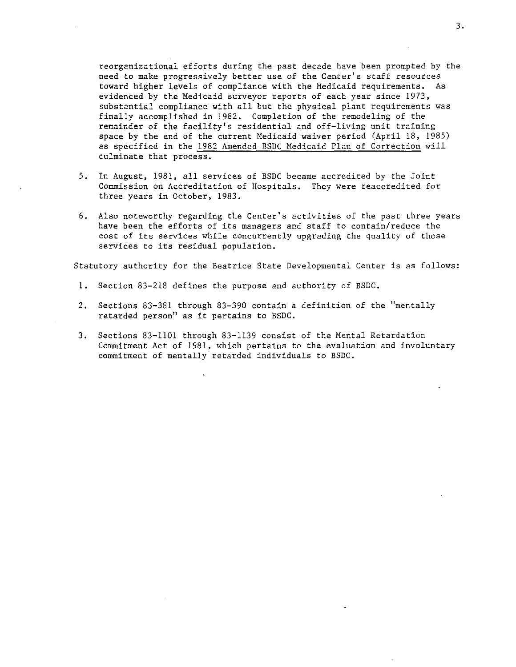reorganizational efforts during the past decade have been prompted by the need to make progressively better use of the Center's staff resources toward higher levels of compliance with the Medicaid requirements. As evidenced by the Medicaid surveyor reports of each year since 1973, substantial compliance with all but the physical plant requirements was finally accomplished in 1982. Completion of the remodeling of the remainder of the facility's residential and off-living unit training space by the end of the current Medicaid waiver period  $(Apri1 18, 1985)$ as specified in the 1982 Amended BSDC Medicaid Plan of Correction will culminate that process.

- 5. In August, 1981, all services of BSDC became accredited by the Joint Commission on Accreditation of Hospitals. They were reaccredited for three years in October, 1983.
- 6. Also noteworthy regarding the Center's activities of the past three years have been the efforts of its managers and staff to contain/reduce the cost of its services while concurrently upgrading the quality of those services to its residual population.

Statutory authority for the Beatrice State Developmental Center is as follows:

- 1. Section 83-218 defines the purpose and authority of BSDC.
- 2. Sections 83-381 through 83-390 contain a definition of the "mentally retarded person" as it pertains to BSDC.
- 3. Sections 83-1101 through 83-1139 consist of the Mental Retardation Commitment Act of 1981, which pertains to the evaluation and involuntary commitment of mentally retarded individuals to BSDC.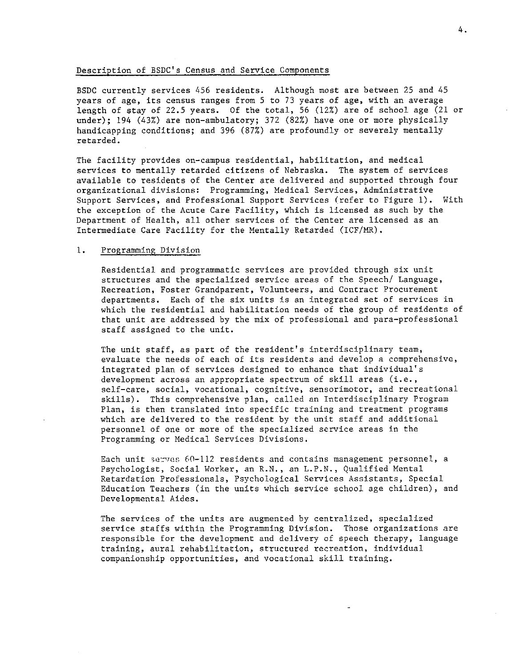## Description of BSDC's Census and Service Components

BSDC currently services 456 residents. Although most are between 25 and 45 years of age, its census ranges from 5 to 73 years of age, with an average length of stay of 22.5 years. Of the total, 56 (12%) are of school age (21 or under); 194 (43%) are non-ambulatory; 372 (82%) have one or more physically handicapping conditions; and 396 (87%) are profoundly or severely mentally retarded.

The facility provides on-campus residential, habilitation, and medical services to mentally retarded citizens of Nebraska. The system of services available to residents of the Center are delivered and supported through four organizational divisions: Programming, Medical Services, Administrative Support Services, and Professional Support Services (refer to Figure 1). With the exception of the Acute Care Facility, which is licensed as such by the Department of Health, all other services of the Center are licensed as an Intermediate Care Facility for the Mentally Retarded (ICF/MR).

# **1. Programming Division**

Residential and programmatic services are provided through six unit structures and the specialized service areas of the Speech/ Language, **Recreation, Foster Grandparent, Volunteers, and Contract Procurement**  departments. Each of the six units is an integrated set of services in which the residential and habilitation needs of the group of residents of that unit are addressed by the mix of professional and para-professional staff assigned to the unit.

The unit staff, as part of the resident's interdisciplinary team, **evaluate the needs of each of its residents and develop a comprehensive,**  integrated plan of services designed to enhance that individual's development across an appropriate spectrum of skill areas (i.e., **self-care, social, vocational, cognitive, sensorimotor, and recreational**  skills). This comprehensive plan, called an Interdisciplinary Program Plan, is then translated into specific training and treatment programs which are delivered to the resident by the unit staff and additional **personnel of one or more of the specialized service areas in the**  Programming or Medical Services Divisions.

Each unit serves  $60-112$  residents and contains management personnel, a Psychologist, Social Worker, an R.N., an L.P.N., Qualified Mental Retardation Professionals, Psychological Services Assistants, Special Education Teachers (in the units which service school age children), and Developmental Aides.

The services of the units are augmented by centralized, specialized service staffs within the Programming Division. Those organizations are responsible for the development and delivery of speech therapy, language **training, aural rehabilitation, structured recreation, individual**  companionship opportunities, and vocational skill training.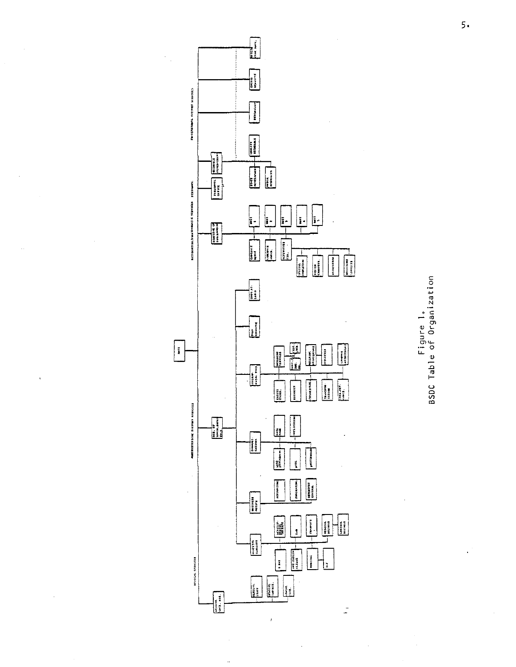

 $\bar{\gamma}$ 

Figure<br>e of Or r. 0 co VJ Cl u  $Tab$ 0 1.  $\tilde{\mathbf{e}}$ c zation

 $\overline{5}$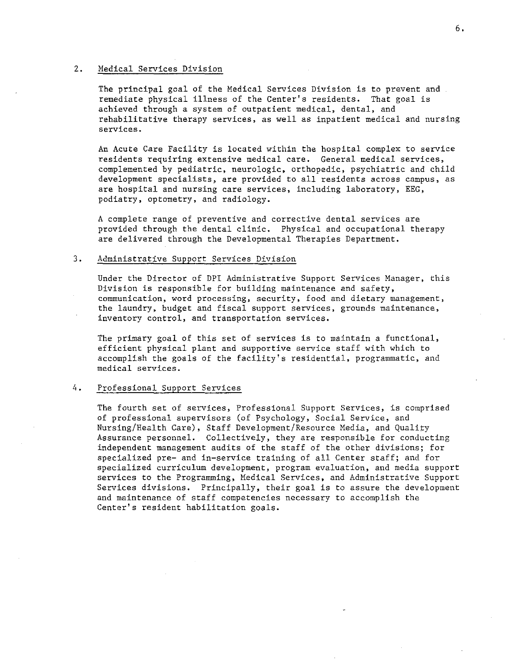## 2. Medical Services Division

The principal goal of the Medical Services Division is to prevent and. remediate physical illness of the Center's residents. That goal is achieved through a system of outpatient medical, dental, and rehabilitative therapy services, as well as inpatient medical and nursing services.

An Acute Care Facility is located within the hospital complex to service **residents requiring extensive medical care. General medical services,**  complemented by pediatric, neurologic, orthopedic, psychiatric and child development specialists, are provided to all residents across campus, as are hospital and nursing care services, including laboratory, EEG, podiatry, optometry, and radiology.

**A complete range of preventive and corrective dental services are**  provided through the dental clinic. Physical and occupational therapy are delivered through the Developmental Therapies Department.

#### 3. Administrative Support Services Division

Under the Director of DPI Administrative Support Services Manager, this Division is responsible for building maintenance and safety, **communication, word processing, security, food and dietary management,**  the laundry, budget and fiscal support services, grounds maintenance, **inventory control, and transportation services.** 

The primary goal of this set of services is to maintain a functional, efficient physical plant and supportive service staff with which to accomplish the goals of the facility's residential, programmatic, and **medical services.** 

## 4. Professional Support Services

The fourth set of services, Professional Support Services, is comprised of professional supervisors (of Psychology, Social Service, and Nursing/Health Care), Staff Development/Resource Media, and Quality Assurance personnel. Collectively, they are responsible for conducting independent management audits of the staff of the other divisions; for specialized pre- and in-service training of all Center staff; and for specialized curriculum development, program evaluation, and media support services to the Programming, Medical Services, and Administrative Support Services divisions. Principally, their goal is to assure the development **and maintenance of staff competencies necessary to accomplish the**  Center's resident habilitation goals.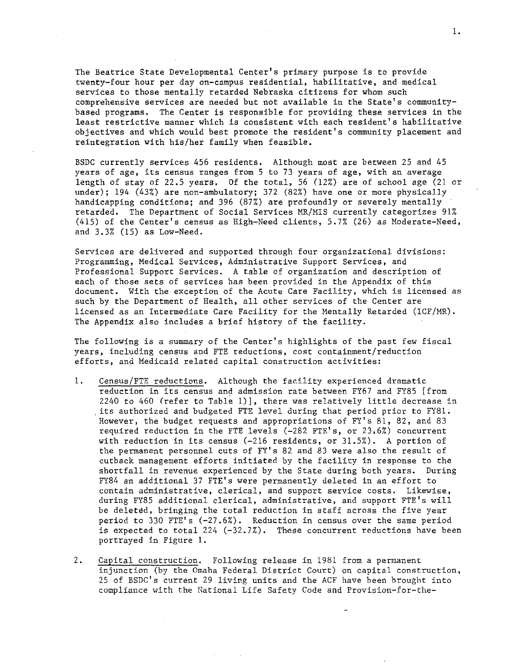The Beatrice State Developmental Center's primary purpose is to provide twenty-four hour per day on-campus residential, habilitative, and medical services to those mentally retarded Nebraska citizens for whom such comprehensive services are needed but not available in the State's communitybased programs. The Center is responsible for providing these services in the least restrictive manner which is consistent with each resident's habilitative objectives and which would best promote the resident's community placement and reintegration with his/her family when feasible.

BSDC currently services 456 residents. Although most are between 25 and 45 years of age, its census ranges from 5 to 73 years of age, with an average length of stay of 22.5 years. Of the total, 56 (12%) are of school age (21 or under); 194 (43%) are non-ambulatory; 372 (82%) have one or more physically handicapping conditions; and 396 (87%) are profoundly or severely mentally retarded. The Department of Social Services MR/MIS currently categorizes 91% (415) of the Center's census as High-Need clients, 5.7% (26) as Moderate-Need, and 3.3% (15) as Low-Need.

Services are delivered and supported through four organizational divisions: Programming, Medical Services, Administrative Support Services, and Professional Support Services. A table of organization and description of each of those sets of services has been provided in the Appendix of this document. With the exception of the Acute Care Facility, which is licensed as such by the Department of Health, all other services of the Center are licensed as an Intermediate Care Facility for the Mentally Retarded (ICF/MR). The Appendix also includes a brief history of the facility.

The following is a summary of the Center's highlights of the past few fiscal **years, including census and FTE reductions, cost containment/reduction**  efforts, and Medicaid related capital construction activities:

- 1. Census/FTE reductions. Although the facility experienced dramatic reduction in its census and admission rate between FY67 and FY85 [from 2240 to 460 (refer to Table l)], there was relatively little decrease in , its authorized and budgeted FTE level during that period prior to FY81. However, the budget requests and appropriations of FY's 81, 82, and 83 required reduction in the FTE levels (-282 FTE's, or 23,6%) concurrent with reduction in its census (-216 residents, or 31.5%). A portion of the permanent personnel cuts of FY's 82 and 83 were also the result of cutback management efforts initiated by the facility in response to the shortfall in revenue experienced by the State during both years. During FY84 an additional 37 FTE's were permanently deleted in an effort to **contain administrative, clerical, and support service costs. Likewise,**  during FY85 additional clerical, administrative, and support FTE's will be deleted, bringing the total reduction in staff across the five year period to 330 FTE's (-27.6%). Reduction in census over the same period is expected to total 224  $(-32.7\%)$ . These concurrent reductions have been portrayed in Figure 1.
- 2. Capital construction. Following release in 1981 from a permanent injunction (by the Omaha Federal District Court) on capital construction, 25 of BSDC's current 29 living units and the ACF have been brought into compliance with the National Life Safety Code and Provision-for-the